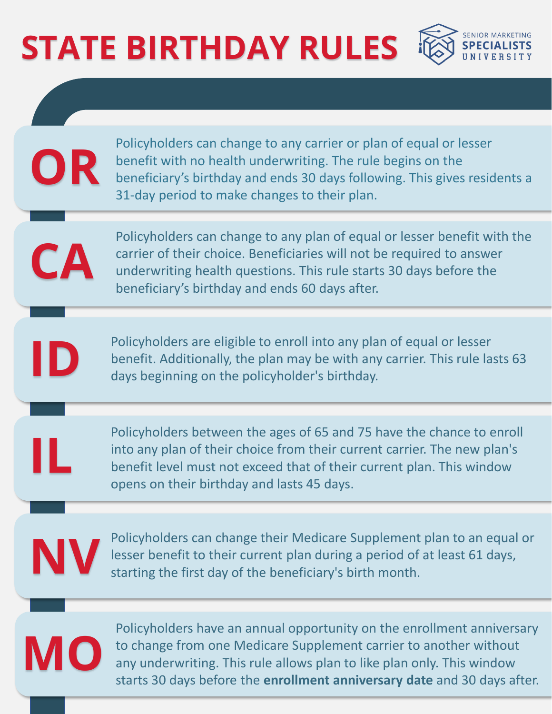## **STATE BIRTHDAY RULES**



Policyholders can change to any carrier or plan of equal or lesser benefit with no health underwriting. The rule begins on the beneficiary's birthday and ends 30 days following. This gives residents a 31-day period to make changes to their plan.

Policyholders can change to any plan of equal or lesser benefit with the carrier of their choice. Beneficiaries will not be required to answer underwriting health questions. This rule starts 30 days before the beneficiary's birthday and ends 60 days after.

Policyholders are eligible to enroll into any plan of equal or lesser benefit. Additionally, the plan may be with any carrier. This rule lasts 63 days beginning on the policyholder's birthday.

Policyholders between the ages of 65 and 75 have the chance to enroll into any plan of their choice from their current carrier. The new plan's benefit level must not exceed that of their current plan. This window opens on their birthday and lasts 45 days.



**OR**

**CA**

**ID**

**IL**

Policyholders can change their Medicare Supplement plan to an equal or lesser benefit to their current plan during a period of at least 61 days, starting the first day of the beneficiary's birth month.



Policyholders have an annual opportunity on the enrollment anniversary to change from one Medicare Supplement carrier to another without any underwriting. This rule allows plan to like plan only. This window starts 30 days before the **enrollment anniversary date** and 30 days after.